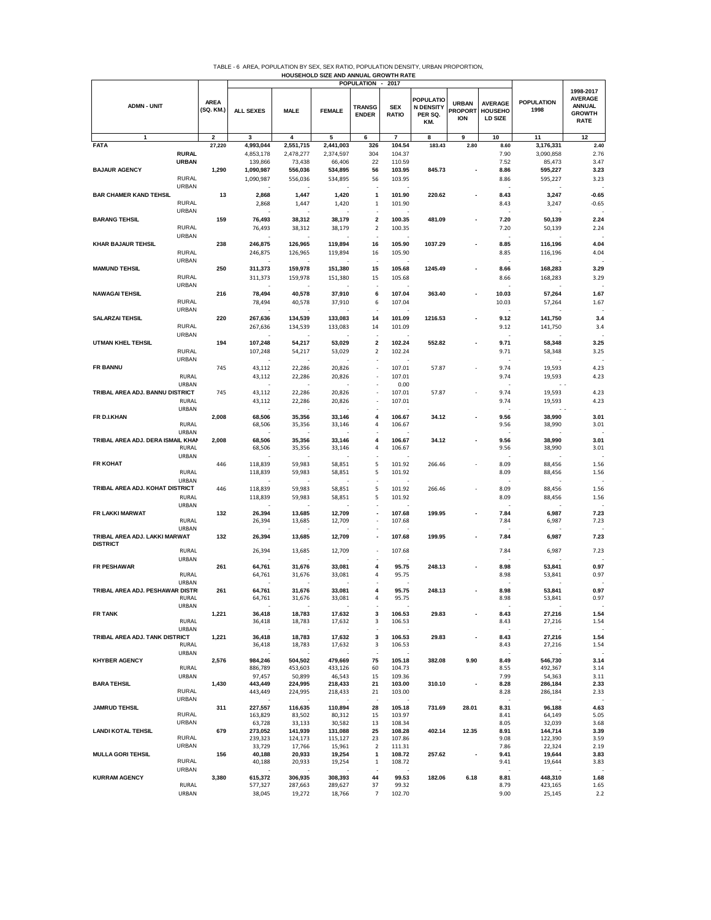|                                           |                          | <b>POPULATION</b><br>2017<br>$\blacksquare$ |                   |                   |                               |                            |                                                 |                                              |                                      |                           |                                                                       |
|-------------------------------------------|--------------------------|---------------------------------------------|-------------------|-------------------|-------------------------------|----------------------------|-------------------------------------------------|----------------------------------------------|--------------------------------------|---------------------------|-----------------------------------------------------------------------|
| <b>ADMN - UNIT</b>                        | <b>AREA</b><br>(SQ. KM.) | <b>ALL SEXES</b>                            | <b>MALE</b>       | <b>FEMALE</b>     | <b>TRANSG</b><br><b>ENDER</b> | <b>SEX</b><br><b>RATIO</b> | <b>POPULATIO</b><br>N DENSITY<br>PER SQ.<br>KM. | <b>URBAN</b><br><b>PROPORT</b><br><b>ION</b> | <b>AVERAGE</b><br>HOUSEHO<br>LD SIZE | <b>POPULATION</b><br>1998 | 1998-2017<br><b>AVERAGE</b><br>ANNUAL<br><b>GROWTH</b><br><b>RATE</b> |
| 1                                         | 2                        | 3                                           | 4                 | 5                 | 6                             | $\overline{7}$             | 8                                               | 9                                            | 10                                   | 11                        | 12                                                                    |
| <b>FATA</b>                               | 27,220                   | 4,993,044                                   | 2,551,715         | 2,441,003         | 326                           | 104.54                     | 183.43                                          | 2.80                                         | 8.60                                 | 3,176,331                 | 2.40                                                                  |
| <b>RURAL</b>                              |                          | 4,853,178                                   | 2,478,277         | 2,374,597         | 304                           | 104.37                     |                                                 |                                              | 7.90                                 | 3,090,858                 | 2.76                                                                  |
| <b>URBAN</b>                              |                          | 139,866                                     | 73,438            | 66,406            | 22                            | 110.59                     |                                                 |                                              | 7.52                                 | 85,473                    | 3.47                                                                  |
| <b>BAJAUR AGENCY</b>                      | 1,290                    | 1,090,987                                   | 556,036           | 534,895           | 56                            | 103.95                     | 845.73                                          |                                              | 8.86                                 | 595,227                   | 3.23                                                                  |
| <b>RURAL</b>                              |                          | 1,090,987                                   | 556,036           | 534,895           | 56                            | 103.95                     |                                                 |                                              | 8.86                                 | 595,227                   | 3.23                                                                  |
| <b>URBAN</b>                              |                          |                                             |                   |                   |                               |                            |                                                 |                                              |                                      |                           |                                                                       |
| <b>BAR CHAMER KAND TEHSIL</b>             | 13                       | 2,868                                       | 1,447             | 1,420             | 1                             | 101.90                     | 220.62                                          |                                              | 8.43                                 | 3,247                     | $-0.65$                                                               |
| <b>RURAL</b>                              |                          | 2,868                                       | 1,447             | 1,420             | 1                             | 101.90                     |                                                 |                                              | 8.43                                 | 3,247                     | -0.65                                                                 |
| <b>URBAN</b><br><b>BARANG TEHSIL</b>      |                          | 76,493                                      |                   |                   | 2                             |                            |                                                 |                                              |                                      |                           |                                                                       |
| <b>RURAL</b>                              | 159                      | 76,493                                      | 38,312            | 38,179            | $\overline{\mathbf{2}}$       | 100.35<br>100.35           | 481.09                                          |                                              | 7.20<br>7.20                         | 50,139                    | 2.24<br>2.24                                                          |
| <b>URBAN</b>                              |                          |                                             | 38,312            | 38,179            |                               |                            |                                                 |                                              |                                      | 50,139                    |                                                                       |
| <b>KHAR BAJAUR TEHSIL</b>                 | 238                      | 246,875                                     | 126,965           | 119,894           | 16                            | 105.90                     | 1037.29                                         |                                              | 8.85                                 | 116,196                   | 4.04                                                                  |
| <b>RURAL</b>                              |                          | 246,875                                     | 126,965           | 119,894           | 16                            | 105.90                     |                                                 |                                              | 8.85                                 | 116,196                   | 4.04                                                                  |
| URBAN                                     |                          |                                             |                   |                   |                               |                            |                                                 |                                              |                                      |                           |                                                                       |
| <b>MAMUND TEHSIL</b>                      | 250                      | 311,373                                     | 159,978           | 151,380           | 15                            | 105.68                     | 1245.49                                         |                                              | 8.66                                 | 168,283                   | 3.29                                                                  |
| <b>RURAL</b>                              |                          | 311,373                                     | 159,978           | 151,380           | 15                            | 105.68                     |                                                 |                                              | 8.66                                 | 168,283                   | 3.29                                                                  |
| <b>URBAN</b>                              |                          |                                             |                   |                   |                               |                            |                                                 |                                              |                                      |                           |                                                                       |
| <b>NAWAGAI TEHSIL</b>                     | 216                      | 78,494                                      | 40,578            | 37,910            | 6                             | 107.04                     | 363.40                                          |                                              | 10.03                                | 57,264                    | 1.67                                                                  |
| <b>RURAL</b>                              |                          | 78,494                                      | 40,578            | 37,910            | 6                             | 107.04                     |                                                 |                                              | 10.03                                | 57,264                    | 1.67                                                                  |
| URBAN                                     |                          |                                             |                   |                   |                               |                            |                                                 |                                              |                                      |                           |                                                                       |
| <b>SALARZAI TEHSIL</b>                    | 220                      | 267,636                                     | 134,539           | 133,083           | 14                            | 101.09                     | 1216.53                                         |                                              | 9.12                                 | 141,750                   | 3.4                                                                   |
| <b>RURAL</b>                              |                          | 267,636                                     | 134,539           | 133,083           | 14                            | 101.09                     |                                                 |                                              | 9.12                                 | 141,750                   | 3.4                                                                   |
| <b>URBAN</b>                              |                          |                                             |                   |                   |                               |                            |                                                 |                                              |                                      |                           |                                                                       |
| <b>UTMAN KHEL TEHSIL</b>                  | 194                      | 107,248                                     | 54,217            | 53,029            | $\overline{\mathbf{2}}$       | 102.24                     | 552.82                                          |                                              | 9.71                                 | 58,348                    | 3.25                                                                  |
| <b>RURAL</b>                              |                          | 107,248                                     | 54,217            | 53,029            | 2                             | 102.24                     |                                                 |                                              | 9.71                                 | 58,348                    | 3.25                                                                  |
| <b>URBAN</b>                              |                          |                                             |                   |                   |                               |                            |                                                 |                                              |                                      |                           |                                                                       |
| <b>FR BANNU</b>                           | 745                      | 43,112                                      | 22,286            | 20,826            |                               | 107.01                     | 57.87                                           |                                              | 9.74                                 | 19,593                    | 4.23                                                                  |
| RURAL                                     |                          | 43,112                                      | 22,286            | 20,826            |                               | 107.01                     |                                                 |                                              | 9.74                                 | 19,593                    | 4.23                                                                  |
| URBAN                                     |                          |                                             |                   |                   |                               | 0.00                       |                                                 |                                              |                                      |                           |                                                                       |
| TRIBAL AREA ADJ. BANNU DISTRICT           | 745                      | 43,112                                      | 22,286            | 20,826            |                               | 107.01                     | 57.87                                           |                                              | 9.74                                 | 19,593                    | 4.23                                                                  |
| <b>RURAL</b>                              |                          | 43,112                                      | 22,286            | 20,826            |                               | 107.01                     |                                                 |                                              | 9.74                                 | 19,593                    | 4.23                                                                  |
| URBAN<br>FR D.I.KHAN                      | 2,008                    | 68,506                                      | 35,356            | 33,146            | 4                             |                            | 34.12                                           |                                              | 9.56                                 | 38,990                    | 3.01                                                                  |
| <b>RURAL</b>                              |                          | 68,506                                      | 35,356            | 33,146            | 4                             | 106.67<br>106.67           |                                                 |                                              | 9.56                                 | 38,990                    | 3.01                                                                  |
| URBAN                                     |                          |                                             |                   |                   |                               |                            |                                                 |                                              |                                      |                           |                                                                       |
| TRIBAL AREA ADJ. DERA ISMAIL KHAN         | 2,008                    | 68,506                                      | 35,356            | 33,146            | 4                             | 106.67                     | 34.12                                           |                                              | 9.56                                 | 38,990                    | 3.01                                                                  |
| RURAL                                     |                          | 68,506                                      | 35,356            | 33,146            | 4                             | 106.67                     |                                                 |                                              | 9.56                                 | 38,990                    | 3.01                                                                  |
| URBAN                                     |                          |                                             |                   |                   |                               |                            |                                                 |                                              |                                      |                           |                                                                       |
| <b>FR KOHAT</b>                           | 446                      | 118,839                                     | 59,983            | 58,851            | 5                             | 101.92                     | 266.46                                          |                                              | 8.09                                 | 88,456                    | 1.56                                                                  |
| <b>RURAL</b>                              |                          | 118,839                                     | 59,983            | 58,851            | 5                             | 101.92                     |                                                 |                                              | 8.09                                 | 88,456                    | 1.56                                                                  |
| URBAN                                     |                          |                                             |                   |                   |                               |                            |                                                 |                                              |                                      |                           |                                                                       |
| TRIBAL AREA ADJ. KOHAT DISTRICT           | 446                      | 118,839                                     | 59,983            | 58,851            | 5                             | 101.92                     | 266.46                                          |                                              | 8.09                                 | 88,456                    | 1.56                                                                  |
| <b>RURAL</b>                              |                          | 118,839                                     | 59,983            | 58,851            | 5                             | 101.92                     |                                                 |                                              | 8.09                                 | 88,456                    | 1.56                                                                  |
| URBAN                                     |                          |                                             |                   |                   |                               |                            |                                                 |                                              |                                      |                           |                                                                       |
| FR LAKKI MARWAT                           | 132                      | 26,394                                      | 13,685            | 12,709            | $\overline{\phantom{a}}$      | 107.68                     | 199.95                                          |                                              | 7.84                                 | 6,987                     | 7.23                                                                  |
| <b>RURAL</b><br>URBAN                     |                          | 26,394                                      | 13,685            | 12,709            |                               | 107.68                     |                                                 |                                              | 7.84                                 | 6,987                     | 7.23                                                                  |
| TRIBAL AREA ADJ. LAKKI MARWAT             | 132                      | 26,394                                      | 13,685            | 12,709            | ٠                             | 107.68                     | 199.95                                          |                                              | 7.84                                 | 6,987                     | 7.23                                                                  |
| <b>DISTRICT</b>                           |                          |                                             |                   |                   |                               |                            |                                                 |                                              |                                      |                           |                                                                       |
| <b>RURAL</b>                              |                          | 26,394                                      | 13,685            | 12,709            |                               | 107.68                     |                                                 |                                              | 7.84                                 | 6,987                     | 7.23                                                                  |
| URBAN                                     |                          |                                             |                   |                   |                               |                            |                                                 |                                              |                                      |                           |                                                                       |
| <b>FR PESHAWAR</b>                        | 261                      | 64,761                                      | 31,676            | 33,081            | 4                             | 95.75                      | 248.13                                          |                                              | 8.98                                 | 53,841                    | 0.97                                                                  |
| RURAL                                     |                          | 64,761                                      | 31,676            | 33,081            | 4                             | 95.75                      |                                                 |                                              | 8.98                                 | 53,841                    | 0.97                                                                  |
| URBAN                                     |                          |                                             |                   |                   |                               |                            |                                                 |                                              |                                      |                           |                                                                       |
| TRIBAL AREA ADJ. PESHAWAR DISTRI<br>RURAI | 261                      | 64,761                                      | 31,676            | 33,081<br>33,081  | 4                             | 95.75<br>95.75             | 248.13                                          |                                              | 8.98<br>8.98                         | 53,841<br>53,841          | 0.97<br>0.97                                                          |
| URBAN                                     |                          | 64,761                                      | 31,676            |                   |                               |                            |                                                 |                                              |                                      |                           |                                                                       |
| FR TANK                                   | 1,221                    | 36,418                                      | 18,783            | 17,632            | 3                             | 106.53                     | 29.83                                           |                                              | 8.43                                 | 27,216                    | 1.54                                                                  |
| <b>RURAL</b>                              |                          | 36,418                                      | 18,783            | 17,632            | 3                             | 106.53                     |                                                 |                                              | 8.43                                 | 27,216                    | 1.54                                                                  |
| URBAN                                     |                          |                                             |                   |                   |                               |                            |                                                 |                                              |                                      |                           |                                                                       |
| TRIBAL AREA ADJ. TANK DISTRICT            | 1,221                    | 36,418                                      | 18,783            | 17,632            | 3                             | 106.53                     | 29.83                                           |                                              | 8.43                                 | 27,216                    | 1.54                                                                  |
| RURAL                                     |                          | 36,418                                      | 18,783            | 17,632            | 3                             | 106.53                     |                                                 |                                              | 8.43                                 | 27,216                    | 1.54                                                                  |
| URBAN                                     |                          |                                             |                   |                   | ÷,                            |                            |                                                 |                                              |                                      |                           |                                                                       |
| <b>KHYBER AGENCY</b>                      | 2,576                    | 984,246                                     | 504,502           | 479,669           | 75                            | 105.18                     | 382.08                                          | 9.90                                         | 8.49                                 | 546,730                   | 3.14                                                                  |
| <b>RURAL</b>                              |                          | 886,789                                     | 453,603           | 433,126           | 60                            | 104.73                     |                                                 |                                              | 8.55                                 | 492,367                   | 3.14                                                                  |
| URBAN<br><b>BARA TEHSIL</b>               | 1,430                    | 97,457<br>443,449                           | 50,899<br>224,995 | 46,543<br>218,433 | 15<br>21                      | 109.36<br>103.00           | 310.10                                          |                                              | 7.99<br>8.28                         | 54,363<br>286,184         | 3.11<br>2.33                                                          |
| <b>RURAL</b>                              |                          | 443,449                                     | 224,995           | 218,433           | 21                            | 103.00                     |                                                 |                                              | 8.28                                 | 286,184                   | 2.33                                                                  |
| URBAN                                     |                          |                                             |                   |                   |                               |                            |                                                 |                                              |                                      |                           |                                                                       |
| <b>JAMRUD TEHSIL</b>                      | 311                      | 227,557                                     | 116,635           | 110,894           | 28                            | 105.18                     | 731.69                                          | 28.01                                        | 8.31                                 | 96,188                    | 4.63                                                                  |
| <b>RURAL</b>                              |                          | 163,829                                     | 83,502            | 80,312            | 15                            | 103.97                     |                                                 |                                              | 8.41                                 | 64,149                    | 5.05                                                                  |
| <b>URBAN</b>                              |                          | 63,728                                      | 33,133            | 30,582            | 13                            | 108.34                     |                                                 |                                              | 8.05                                 | 32,039                    | 3.68                                                                  |
| <b>LANDI KOTAL TEHSIL</b>                 | 679                      | 273,052                                     | 141,939           | 131,088           | 25                            | 108.28                     | 402.14                                          | 12.35                                        | 8.91                                 | 144,714                   | 3.39                                                                  |
| <b>RURAL</b>                              |                          | 239,323                                     | 124,173           | 115,127           | 23                            | 107.86                     |                                                 |                                              | 9.08                                 | 122,390                   | 3.59                                                                  |
| URBAN                                     |                          | 33,729                                      | 17,766            | 15,961            | 2                             | 111.31                     |                                                 |                                              | 7.86                                 | 22,324                    | 2.19                                                                  |
| <b>MULLA GORI TEHSIL</b><br><b>RURAL</b>  | 156                      | 40,188                                      | 20,933            | 19,254            | 1                             | 108.72                     | 257.62                                          |                                              | 9.41                                 | 19,644                    | 3.83                                                                  |
| <b>URBAN</b>                              |                          | 40,188                                      | 20,933            | 19,254            | 1                             | 108.72                     |                                                 |                                              | 9.41                                 | 19,644                    | 3.83                                                                  |
| <b>KURRAM AGENCY</b>                      | 3,380                    | 615,372                                     | 306,935           | 308,393           | 44                            | 99.53                      | 182.06                                          | 6.18                                         | 8.81                                 | 448,310                   | 1.68                                                                  |
| <b>RURAL</b>                              |                          | 577,327                                     | 287,663           | 289,627           | 37                            | 99.32                      |                                                 |                                              | 8.79                                 | 423,165                   | 1.65                                                                  |
| <b>URBAN</b>                              |                          | 38,045                                      | 19,272            | 18,766            | 7                             | 102.70                     |                                                 |                                              | 9.00                                 | 25,145                    | 2.2                                                                   |

## TABLE - 6 AREA, POPULATION BY SEX, SEX RATIO, POPULATION DENSITY, URBAN PROPORTION, **HOUSEHOLD SIZE AND ANNUAL GROWTH RATE**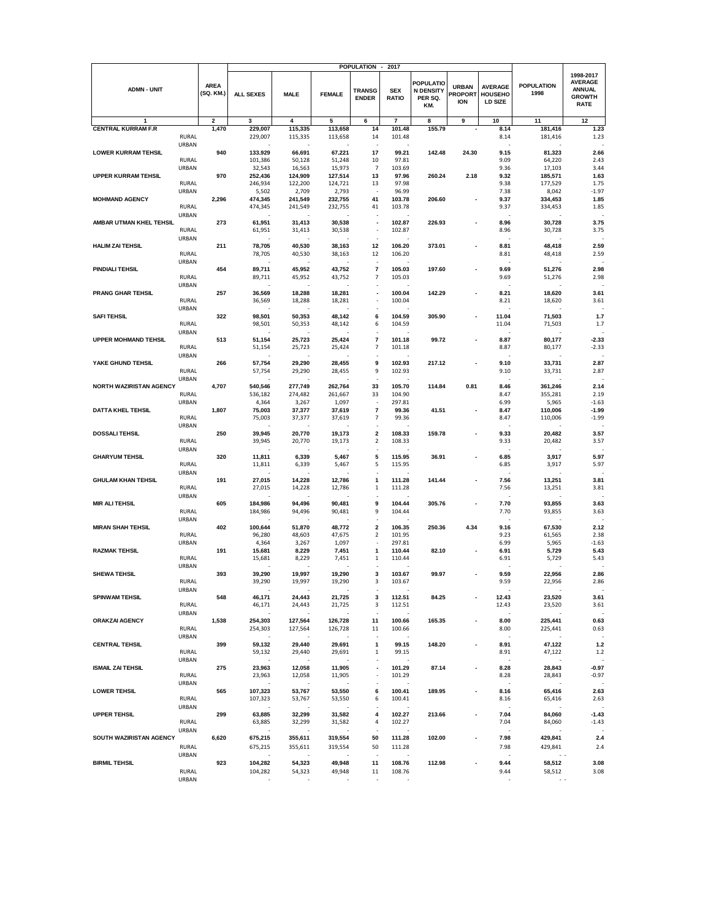|                            |                       |                          | <b>POPULATION</b><br>2017 |                  |               |                               |                            |                                                        |                                              |                                             |                           |                                                                       |
|----------------------------|-----------------------|--------------------------|---------------------------|------------------|---------------|-------------------------------|----------------------------|--------------------------------------------------------|----------------------------------------------|---------------------------------------------|---------------------------|-----------------------------------------------------------------------|
| <b>ADMN - UNIT</b>         |                       | <b>AREA</b><br>(SQ. KM.) | <b>ALL SEXES</b>          | <b>MALE</b>      | <b>FEMALE</b> | <b>TRANSG</b><br><b>ENDER</b> | <b>SEX</b><br><b>RATIO</b> | <b>POPULATIO</b><br><b>N DENSITY</b><br>PER SQ.<br>KM. | <b>URBAN</b><br><b>PROPORT</b><br><b>ION</b> | <b>AVERAGE</b><br><b>HOUSEHO</b><br>LD SIZE | <b>POPULATION</b><br>1998 | 1998-2017<br><b>AVERAGE</b><br>ANNUAL<br><b>GROWTH</b><br><b>RATE</b> |
|                            |                       | 2                        | 3                         | 4                | 5             | 6                             | $\overline{\mathbf{r}}$    | 8                                                      | 9                                            | 10                                          | 11                        | 12                                                                    |
| <b>CENTRAL KURRAM F.R</b>  |                       | 1,470                    | 229,007                   | 115,335          | 113,658       | 14                            | 101.48                     | 155.79                                                 |                                              | 8.14                                        | 181,416                   | 1.23                                                                  |
|                            | RURAL                 |                          | 229,007                   | 115,335          | 113,658       | 14                            | 101.48                     |                                                        |                                              | 8.14                                        | 181,416                   | 1.23                                                                  |
|                            | URBAN                 |                          |                           |                  |               |                               |                            |                                                        |                                              |                                             |                           |                                                                       |
| <b>LOWER KURRAM TEHSIL</b> |                       | 940                      | 133,929                   | 66,691           | 67,221        | 17                            | 99.21                      | 142.48                                                 | 24.30                                        | 9.15                                        | 81,323                    | 2.66                                                                  |
|                            | RURAL                 |                          | 101,386                   | 50,128           | 51,248        | 10                            | 97.81                      |                                                        |                                              | 9.09                                        | 64,220                    | 2.43                                                                  |
|                            | URBAN                 |                          | 32,543                    | 16,563           | 15,973        | 7                             | 103.69                     |                                                        |                                              | 9.36                                        | 17,103                    | 3.44                                                                  |
| <b>UPPER KURRAM TEHSIL</b> |                       | 970                      | 252,436                   | 124,909          | 127,514       | 13                            | 97.96                      | 260.24                                                 | 2.18                                         | 9.32                                        | 185,571                   | 1.63                                                                  |
|                            | <b>RURAL</b>          |                          | 246,934                   | 122,200          | 124,721       | 13                            | 97.98                      |                                                        |                                              | 9.38                                        | 177,529                   | 1.75                                                                  |
|                            | URBAN                 |                          | 5,502                     | 2,709            | 2,793         |                               | 96.99                      |                                                        |                                              | 7.38                                        | 8,042                     | $-1.97$                                                               |
| <b>MOHMAND AGENCY</b>      |                       | 2,296                    | 474,345                   | 241,549          | 232,755       | 41                            | 103.78                     | 206.60                                                 |                                              | 9.37                                        | 334,453                   | 1.85                                                                  |
|                            | RURAL                 |                          | 474,345                   | 241,549          | 232,755       | 41                            | 103.78                     |                                                        |                                              | 9.37                                        | 334,453                   | 1.85                                                                  |
| AMBAR UTMAN KHEL TEHSIL    | URBAN                 |                          |                           |                  | 30,538        | ÷,                            |                            | 226.93                                                 |                                              | 8.96                                        | 30,728                    |                                                                       |
|                            | <b>RURAL</b>          | 273                      | 61,951<br>61,951          | 31,413<br>31,413 | 30,538        | J.                            | 102.87<br>102.87           |                                                        |                                              | 8.96                                        | 30,728                    | 3.75<br>3.75                                                          |
|                            | URBAN                 |                          |                           |                  |               |                               |                            |                                                        |                                              |                                             |                           |                                                                       |
| <b>HALIM ZAI TEHSIL</b>    |                       | 211                      | 78,705                    | 40,530           | 38,163        | 12                            | 106.20                     | 373.01                                                 | ٠                                            | 8.81                                        | 48,418                    | 2.59                                                                  |
|                            | <b>RURAL</b>          |                          | 78,705                    | 40,530           | 38,163        | 12                            | 106.20                     |                                                        |                                              | 8.81                                        | 48,418                    | 2.59                                                                  |
|                            | URBAN                 |                          |                           |                  |               |                               |                            |                                                        |                                              |                                             |                           |                                                                       |
| <b>PINDIALI TEHSIL</b>     |                       | 454                      | 89,711                    | 45,952           | 43,752        | $\overline{\mathbf{r}}$       | 105.03                     | 197.60                                                 |                                              | 9.69                                        | 51,276                    | 2.98                                                                  |
|                            | <b>RURAL</b>          |                          | 89,711                    | 45,952           | 43,752        | 7                             | 105.03                     |                                                        |                                              | 9.69                                        | 51,276                    | 2.98                                                                  |
|                            | URBAN                 |                          |                           |                  |               |                               |                            |                                                        |                                              |                                             |                           |                                                                       |
| PRANG GHAR TEHSIL          |                       | 257                      | 36,569                    | 18,288           | 18,281        | Ĭ.                            | 100.04                     | 142.29                                                 |                                              | 8.21                                        | 18,620                    | 3.61                                                                  |
|                            | <b>RURAL</b>          |                          | 36,569                    | 18,288           | 18,281        |                               | 100.04                     |                                                        |                                              | 8.21                                        | 18,620                    | 3.61                                                                  |
|                            | URBAN                 |                          |                           |                  |               |                               |                            |                                                        |                                              |                                             |                           |                                                                       |
| <b>SAFI TEHSIL</b>         |                       | 322                      | 98,501                    | 50,353           | 48,142        | 6                             | 104.59                     | 305.90                                                 |                                              | 11.04<br>11.04                              | 71,503                    | 1.7<br>1.7                                                            |
|                            | <b>RURAL</b><br>URBAN |                          | 98,501                    | 50,353           | 48,142        | 6                             | 104.59                     |                                                        |                                              |                                             | 71,503                    |                                                                       |
| UPPER MOHMAND TEHSIL       |                       | 513                      | 51,154                    | 25,723           | 25,424        | 7                             | 101.18                     | 99.72                                                  |                                              | 8.87                                        | 80,177                    | $-2.33$                                                               |
|                            | <b>RURAL</b>          |                          | 51,154                    | 25,723           | 25,424        | 7                             | 101.18                     |                                                        |                                              | 8.87                                        | 80,177                    | $-2.33$                                                               |
|                            | URBAN                 |                          |                           |                  |               |                               |                            |                                                        |                                              |                                             |                           |                                                                       |
| YAKE GHUND TEHSIL          |                       | 266                      | 57,754                    | 29,290           | 28,455        | 9                             | 102.93                     | 217.12                                                 |                                              | 9.10                                        | 33,731                    | 2.87                                                                  |
|                            | <b>RURAL</b>          |                          | 57,754                    | 29,290           | 28,455        | 9                             | 102.93                     |                                                        |                                              | 9.10                                        | 33,731                    | 2.87                                                                  |
|                            | URBAN                 |                          |                           |                  |               |                               |                            |                                                        |                                              |                                             |                           |                                                                       |
| NORTH WAZIRISTAN AGENCY    |                       | 4,707                    | 540,546                   | 277,749          | 262,764       | 33                            | 105.70                     | 114.84                                                 | 0.81                                         | 8.46                                        | 361,246                   | 2.14                                                                  |
|                            | RURAL                 |                          | 536,182                   | 274,482          | 261,667       | 33                            | 104.90                     |                                                        |                                              | 8.47                                        | 355,281                   | 2.19                                                                  |
|                            | URBAN                 |                          | 4,364                     | 3,267            | 1,097         | ł.                            | 297.81                     |                                                        |                                              | 6.99                                        | 5,965                     | $-1.63$                                                               |
| DATTA KHEL TEHSIL          |                       | 1,807                    | 75,003                    | 37,377           | 37,619        | 7                             | 99.36                      | 41.51                                                  |                                              | 8.47                                        | 110,006                   | $-1.99$                                                               |
|                            | <b>RURAL</b>          |                          | 75,003                    | 37,377           | 37,619        | 7                             | 99.36                      |                                                        |                                              | 8.47                                        | 110,006                   | $-1.99$                                                               |
| <b>DOSSALI TEHSIL</b>      | URBAN                 | 250                      | 39,945                    | 20,770           | 19,173        | 2                             | 108.33                     | 159.78                                                 |                                              | 9.33                                        | 20,482                    | 3.57                                                                  |
|                            | <b>RURAL</b>          |                          | 39,945                    | 20,770           | 19,173        | $\overline{\mathbf{c}}$       | 108.33                     |                                                        |                                              | 9.33                                        | 20,482                    | 3.57                                                                  |
|                            | URBAN                 |                          |                           |                  |               |                               |                            |                                                        |                                              |                                             |                           |                                                                       |
| <b>GHARYUM TEHSIL</b>      |                       | 320                      | 11,811                    | 6,339            | 5,467         | 5                             | 115.95                     | 36.91                                                  |                                              | 6.85                                        | 3,917                     | 5.97                                                                  |
|                            | RURAL                 |                          | 11,811                    | 6,339            | 5,467         | 5                             | 115.95                     |                                                        |                                              | 6.85                                        | 3,917                     | 5.97                                                                  |
|                            | URBAN                 |                          |                           |                  |               |                               |                            |                                                        |                                              |                                             |                           |                                                                       |
| <b>GHULAM KHAN TEHSIL</b>  |                       | 191                      | 27,015                    | 14,228           | 12,786        | 1                             | 111.28                     | 141.44                                                 |                                              | 7.56                                        | 13,251                    | 3.81                                                                  |
|                            | RURAL                 |                          | 27,015                    | 14,228           | 12,786        | $\mathbf 1$                   | 111.28                     |                                                        |                                              | 7.56                                        | 13,251                    | 3.81                                                                  |
|                            | URBAN                 |                          |                           |                  |               |                               |                            |                                                        |                                              |                                             |                           |                                                                       |
| <b>MIR ALI TEHSIL</b>      |                       | 605                      | 184,986                   | 94,496           | 90,481        | 9                             | 104.44                     | 305.76                                                 |                                              | 7.70                                        | 93,855                    | 3.63                                                                  |
|                            | <b>RURAL</b>          |                          | 184,986                   | 94,496           | 90,481        | 9                             | 104.44                     |                                                        |                                              | 7.70                                        | 93,855                    | 3.63                                                                  |
| <b>MIRAN SHAH TEHSIL</b>   | URBAN                 | 402                      | 100,644                   | 51,870           | 48,772        | 2                             | 106.35                     | 250.36                                                 | 4.34                                         | 9.16                                        | 67,530                    | 2.12                                                                  |
|                            | RURAL                 |                          | 96,280                    | 48,603           | 47,675        | $\overline{\mathbf{2}}$       | 101.95                     |                                                        |                                              | 9.23                                        | 61,565                    | 2.38                                                                  |
|                            | URBAN                 |                          | 4,364                     | 3,267            | 1,097         |                               | 297.81                     |                                                        |                                              | 6.99                                        | 5,965                     | $-1.63$                                                               |
| <b>RAZMAK TEHSIL</b>       |                       | 191                      | 15,681                    | 8,229            | 7,451         | $\mathbf{1}$                  | 110.44                     | 82.10                                                  |                                              | 6.91                                        | 5,729                     | 5.43                                                                  |
|                            | <b>RURAL</b>          |                          | 15,681                    | 8,229            | 7,451         | 1                             | 110.44                     |                                                        |                                              | 6.91                                        | 5,729                     | 5.43                                                                  |
|                            | URBAN                 |                          |                           |                  |               |                               |                            |                                                        |                                              |                                             |                           |                                                                       |
| SHEWA TEHSIL               |                       | 393                      | 39,290                    | 19,997           | 19,290        | 3                             | 103.67                     | 99.97                                                  |                                              | 9.59                                        | 22,956                    | 2.86                                                                  |
|                            | RURAL                 |                          | 39,290                    | 19,997           | 19,290        |                               | 103.67                     |                                                        |                                              | 9.59                                        | 22,956                    | 2.86                                                                  |
|                            | URBAN                 |                          |                           |                  |               |                               |                            |                                                        |                                              |                                             |                           |                                                                       |
| <b>SPINWAM TEHSIL</b>      |                       | 548                      | 46,171                    | 24,443           | 21,725        | 3                             | 112.51                     | 84.25                                                  |                                              | 12.43                                       | 23,520                    | 3.61                                                                  |
|                            | RURAL                 |                          | 46,171                    | 24,443           | 21,725        | 3                             | 112.51                     |                                                        |                                              | 12.43                                       | 23,520                    | 3.61                                                                  |
|                            | URBAN                 |                          | 254,303                   |                  |               |                               |                            |                                                        |                                              |                                             | 225,441                   |                                                                       |
| <b>ORAKZAI AGENCY</b>      | RURAL                 | 1,538                    | 254,303                   | 127,564          | 126,728       | 11<br>11                      | 100.66<br>100.66           | 165.35                                                 |                                              | 8.00<br>8.00                                | 225,441                   | 0.63<br>0.63                                                          |
|                            | URBAN                 |                          |                           | 127,564          | 126,728       |                               |                            |                                                        |                                              |                                             |                           |                                                                       |
| <b>CENTRAL TEHSIL</b>      |                       | 399                      | 59,132                    | 29,440           | 29,691        | 1                             | 99.15                      | 148.20                                                 |                                              | 8.91                                        | 47,122                    | $1.2$                                                                 |
|                            | RURAL                 |                          | 59,132                    | 29,440           | 29,691        | 1                             | 99.15                      |                                                        |                                              | 8.91                                        | 47,122                    | $1.2$                                                                 |
|                            | URBAN                 |                          |                           |                  |               |                               |                            |                                                        |                                              |                                             |                           |                                                                       |
| <b>ISMAIL ZAI TEHSIL</b>   |                       | 275                      | 23,963                    | 12,058           | 11,905        | ٠                             | 101.29                     | 87.14                                                  |                                              | 8.28                                        | 28,843                    | $-0.97$                                                               |
|                            | RURAL                 |                          | 23,963                    | 12,058           | 11,905        |                               | 101.29                     |                                                        |                                              | 8.28                                        | 28,843                    | -0.97                                                                 |
|                            | URBAN                 |                          |                           |                  |               |                               |                            |                                                        |                                              |                                             |                           |                                                                       |
| <b>LOWER TEHSIL</b>        |                       | 565                      | 107,323                   | 53,767           | 53,550        | 6                             | 100.41                     | 189.95                                                 |                                              | 8.16                                        | 65.416                    | 2.63                                                                  |
|                            | RURAL                 |                          | 107,323                   | 53,767           | 53,550        | 6                             | 100.41                     |                                                        |                                              | 8.16                                        | 65,416                    | 2.63                                                                  |
|                            | URBAN                 |                          |                           |                  |               |                               |                            |                                                        |                                              |                                             |                           |                                                                       |
| <b>UPPER TEHSIL</b>        |                       | 299                      | 63,885                    | 32,299           | 31,582        | 4<br>4                        | 102.27                     | 213.66                                                 | $\blacksquare$                               | 7.04                                        | 84,060                    | $-1.43$                                                               |
|                            | RURAL<br>URBAN        |                          | 63,885                    | 32,299           | 31,582        |                               | 102.27                     |                                                        |                                              | 7.04                                        | 84,060                    | $-1.43$                                                               |
| SOUTH WAZIRISTAN AGENCY    |                       | 6,620                    | 675,215                   | 355,611          | 319,554       | 50                            | 111.28                     | 102.00                                                 |                                              | 7.98                                        | 429,841                   | 2.4                                                                   |
|                            | RURAL                 |                          | 675,215                   | 355,611          | 319,554       | 50                            | 111.28                     |                                                        |                                              | 7.98                                        | 429,841                   | 2.4                                                                   |
|                            | URBAN                 |                          | $\sim$                    | $\sim$           |               | ÷,                            | ÷.                         |                                                        |                                              |                                             | $\sim$ $\sim$             |                                                                       |
| <b>BIRMIL TEHSIL</b>       |                       | 923                      | 104,282                   | 54,323           | 49,948        | 11                            | 108.76                     | 112.98                                                 |                                              | 9.44                                        | 58,512                    | 3.08                                                                  |
|                            | RURAL                 |                          | 104,282                   | 54,323           | 49,948        | 11                            | 108.76                     |                                                        |                                              | 9.44                                        | 58,512                    | 3.08                                                                  |
|                            | URBAN                 |                          |                           |                  |               |                               |                            |                                                        |                                              |                                             |                           |                                                                       |